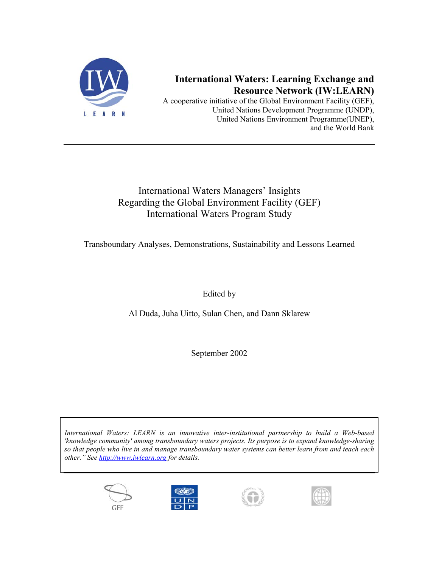

# **International Waters: Learning Exchange and Resource Network (IW:LEARN)**

A cooperative initiative of the Global Environment Facility (GEF), United Nations Development Programme (UNDP), United Nations Environment Programme(UNEP), and the World Bank

# International Waters Managers' Insights Regarding the Global Environment Facility (GEF) International Waters Program Study

Transboundary Analyses, Demonstrations, Sustainability and Lessons Learned

Edited by

Al Duda, Juha Uitto, Sulan Chen, and Dann Sklarew

September 2002

*International Waters: LEARN is an innovative inter-institutional partnership to build a Web-based 'knowledge community' among transboundary waters projects. Its purpose is to expand knowledge-sharing so that people who live in and manage transboundary water systems can better learn from and teach each other." See [http://www.iwlearn.org](http://www.iwlearn.org/) for details.*







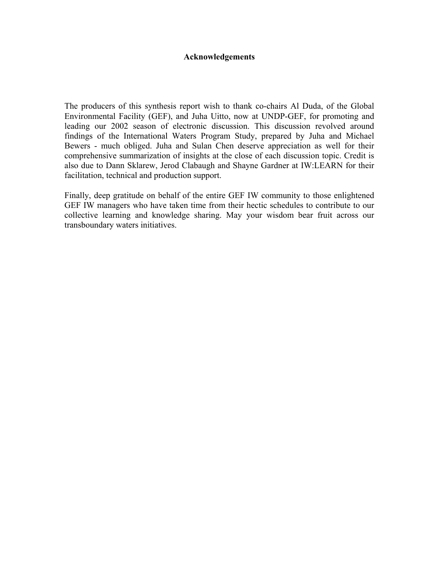#### **Acknowledgements**

The producers of this synthesis report wish to thank co-chairs Al Duda, of the Global Environmental Facility (GEF), and Juha Uitto, now at UNDP-GEF, for promoting and leading our 2002 season of electronic discussion. This discussion revolved around findings of the International Waters Program Study, prepared by Juha and Michael Bewers - much obliged. Juha and Sulan Chen deserve appreciation as well for their comprehensive summarization of insights at the close of each discussion topic. Credit is also due to Dann Sklarew, Jerod Clabaugh and Shayne Gardner at IW:LEARN for their facilitation, technical and production support.

Finally, deep gratitude on behalf of the entire GEF IW community to those enlightened GEF IW managers who have taken time from their hectic schedules to contribute to our collective learning and knowledge sharing. May your wisdom bear fruit across our transboundary waters initiatives.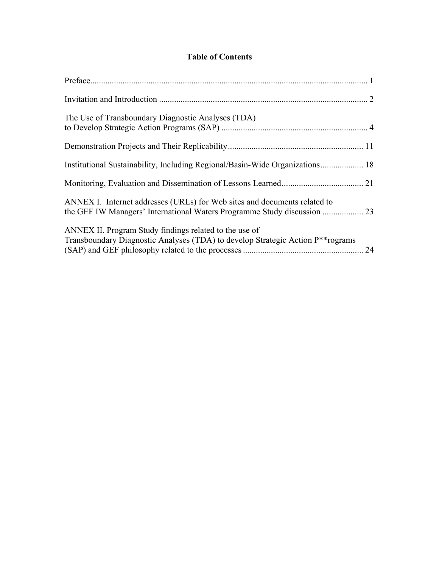## **Table of Contents**

| The Use of Transboundary Diagnostic Analyses (TDA)                                                                                                    |  |
|-------------------------------------------------------------------------------------------------------------------------------------------------------|--|
|                                                                                                                                                       |  |
| Institutional Sustainability, Including Regional/Basin-Wide Organizations 18                                                                          |  |
|                                                                                                                                                       |  |
| ANNEX I. Internet addresses (URLs) for Web sites and documents related to                                                                             |  |
| ANNEX II. Program Study findings related to the use of<br>Transboundary Diagnostic Analyses (TDA) to develop Strategic Action P <sup>**</sup> rograms |  |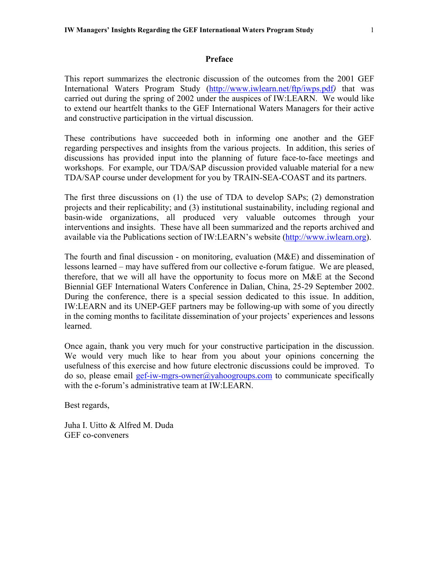#### **Preface**

<span id="page-3-0"></span>This report summarizes the electronic discussion of the outcomes from the 2001 GEF International Waters Program Study (<http://www.iwlearn.net/ftp/iwps.pdf>*)* that was carried out during the spring of 2002 under the auspices of IW:LEARN. We would like to extend our heartfelt thanks to the GEF International Waters Managers for their active and constructive participation in the virtual discussion.

These contributions have succeeded both in informing one another and the GEF regarding perspectives and insights from the various projects. In addition, this series of discussions has provided input into the planning of future face-to-face meetings and workshops. For example, our TDA/SAP discussion provided valuable material for a new TDA/SAP course under development for you by TRAIN-SEA-COAST and its partners.

The first three discussions on (1) the use of TDA to develop SAPs; (2) demonstration projects and their replicability; and (3) institutional sustainability, including regional and basin-wide organizations, all produced very valuable outcomes through your interventions and insights. These have all been summarized and the reports archived and available via the Publications section of IW:LEARN's website [\(http://www.iwlearn.org](http://www.iwlearn.org/)).

The fourth and final discussion - on monitoring, evaluation (M&E) and dissemination of lessons learned – may have suffered from our collective e-forum fatigue. We are pleased, therefore, that we will all have the opportunity to focus more on M&E at the Second Biennial GEF International Waters Conference in Dalian, China, 25-29 September 2002. During the conference, there is a special session dedicated to this issue. In addition, IW:LEARN and its UNEP-GEF partners may be following-up with some of you directly in the coming months to facilitate dissemination of your projects' experiences and lessons learned.

Once again, thank you very much for your constructive participation in the discussion. We would very much like to hear from you about your opinions concerning the usefulness of this exercise and how future electronic discussions could be improved. To do so, please email [gef-iw-mgrs-owner@yahoogroups.com](mailto:gef-iw-mgrs-owner@yahoogroups.com) to communicate specifically with the e-forum's administrative team at IW:LEARN.

Best regards,

Juha I. Uitto & Alfred M. Duda GEF co-conveners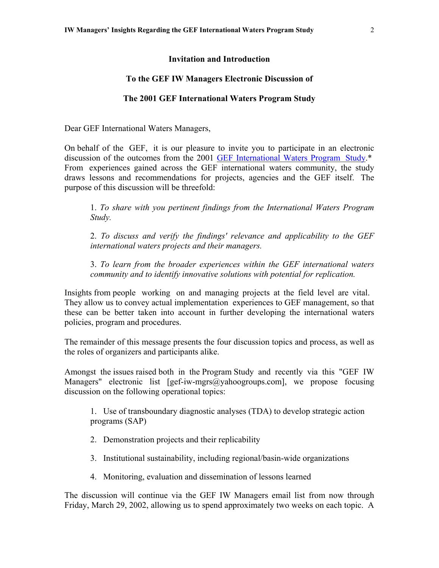#### **Invitation and Introduction**

#### **To the GEF IW Managers Electronic Discussion of**

#### **The 2001 GEF International Waters Program Study**

<span id="page-4-0"></span>Dear GEF International Waters Managers,

On behalf of the GEF, it is our pleasure to invite you to participate in an electronic discussion of the outcomes from the 2001 [GEF International Waters Program Study.](http://www.iwlearn.net/ftp/iwps.pdf)\* From experiences gained across the GEF international waters community, the study draws lessons and recommendations for projects, agencies and the GEF itself. The purpose of this discussion will be threefold:

1. *To share with you pertinent findings from the International Waters Program Study.*

2. *To discuss and verify the findings' relevance and applicability to the GEF international waters projects and their managers.*

3. *To learn from the broader experiences within the GEF international waters community and to identify innovative solutions with potential for replication.*

Insights from people working on and managing projects at the field level are vital. They allow us to convey actual implementation experiences to GEF management, so that these can be better taken into account in further developing the international waters policies, program and procedures.

The remainder of this message presents the four discussion topics and process, as well as the roles of organizers and participants alike.

Amongst the issues raised both in the Program Study and recently via this "GEF IW Managers" electronic list [gef-iw-mgrs@yahoogroups.com], we propose focusing discussion on the following operational topics:

1. Use of transboundary diagnostic analyses (TDA) to develop strategic action programs (SAP)

- 2. Demonstration projects and their replicability
- 3. Institutional sustainability, including regional/basin-wide organizations
- 4. Monitoring, evaluation and dissemination of lessons learned

The discussion will continue via the GEF IW Managers email list from now through Friday, March 29, 2002, allowing us to spend approximately two weeks on each topic. A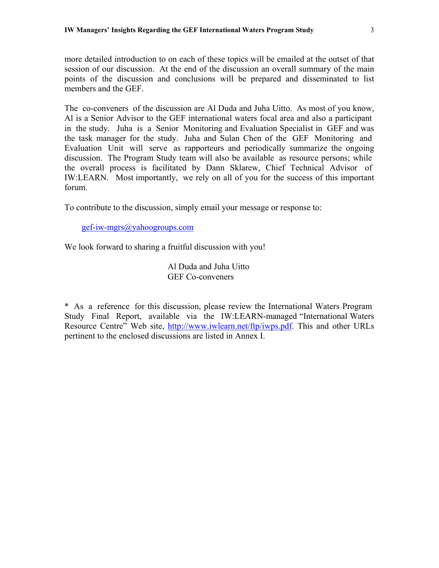more detailed introduction to on each of these topics will be emailed at the outset of that session of our discussion. At the end of the discussion an overall summary of the main points of the discussion and conclusions will be prepared and disseminated to list members and the GEF.

The co-conveners of the discussion are Al Duda and Juha Uitto. As most of you know, Al is a Senior Advisor to the GEF international waters focal area and also a participant in the study. Juha is a Senior Monitoring and Evaluation Specialist in GEF and was the task manager for the study. Juha and Sulan Chen of the GEF Monitoring and Evaluation Unit will serve as rapporteurs and periodically summarize the ongoing discussion. The Program Study team will also be available as resource persons; while the overall process is facilitated by Dann Sklarew, Chief Technical Advisor of IW:LEARN. Most importantly, we rely on all of you for the success of this important forum.

To contribute to the discussion, simply email your message or response to:

[gef-iw-mgrs@yahoogroups.com](mailto:gef-iw-mgrs@yahoogroups.com)

We look forward to sharing a fruitful discussion with you!

 Al Duda and Juha Uitto GEF Co-conveners

\* As a reference for this discussion, please review the International Waters Program Study Final Report, available via the IW:LEARN-managed "International Waters Resource Centre" Web site, <http://www.iwlearn.net/ftp/iwps.pdf>. This and other URLs pertinent to the enclosed discussions are listed in Annex I.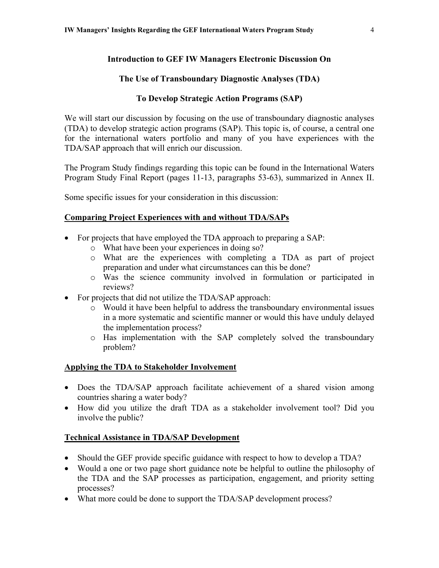## <span id="page-6-0"></span>**Introduction to GEF IW Managers Electronic Discussion On**

### **The Use of Transboundary Diagnostic Analyses (TDA)**

### **To Develop Strategic Action Programs (SAP)**

We will start our discussion by focusing on the use of transboundary diagnostic analyses (TDA) to develop strategic action programs (SAP). This topic is, of course, a central one for the international waters portfolio and many of you have experiences with the TDA/SAP approach that will enrich our discussion.

The Program Study findings regarding this topic can be found in the International Waters Program Study Final Report (pages 11-13, paragraphs 53-63), summarized in Annex II.

Some specific issues for your consideration in this discussion:

### **Comparing Project Experiences with and without TDA/SAPs**

- For projects that have employed the TDA approach to preparing a SAP:
	- o What have been your experiences in doing so?
	- o What are the experiences with completing a TDA as part of project preparation and under what circumstances can this be done?
	- o Was the science community involved in formulation or participated in reviews?
- For projects that did not utilize the TDA/SAP approach:
	- o Would it have been helpful to address the transboundary environmental issues in a more systematic and scientific manner or would this have unduly delayed the implementation process?
	- o Has implementation with the SAP completely solved the transboundary problem?

#### **Applying the TDA to Stakeholder Involvement**

- Does the TDA/SAP approach facilitate achievement of a shared vision among countries sharing a water body?
- How did you utilize the draft TDA as a stakeholder involvement tool? Did you involve the public?

#### **Technical Assistance in TDA/SAP Development**

- Should the GEF provide specific guidance with respect to how to develop a TDA?
- Would a one or two page short guidance note be helpful to outline the philosophy of the TDA and the SAP processes as participation, engagement, and priority setting processes?
- What more could be done to support the TDA/SAP development process?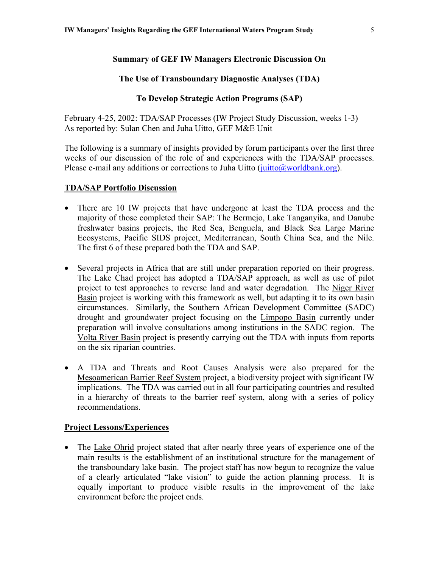#### **Summary of GEF IW Managers Electronic Discussion On**

#### **The Use of Transboundary Diagnostic Analyses (TDA)**

#### **To Develop Strategic Action Programs (SAP)**

February 4-25, 2002: TDA/SAP Processes (IW Project Study Discussion, weeks 1-3) As reported by: Sulan Chen and Juha Uitto, GEF M&E Unit

The following is a summary of insights provided by forum participants over the first three weeks of our discussion of the role of and experiences with the TDA/SAP processes. Please e-mail any additions or corrections to Juha Uitto  $(i$ uitto $@$ worldbank.org).

#### **TDA/SAP Portfolio Discussion**

- There are 10 IW projects that have undergone at least the TDA process and the majority of those completed their SAP: The Bermejo, Lake Tanganyika, and Danube freshwater basins projects, the Red Sea, Benguela, and Black Sea Large Marine Ecosystems, Pacific SIDS project, Mediterranean, South China Sea, and the Nile. The first 6 of these prepared both the TDA and SAP.
- Several projects in Africa that are still under preparation reported on their progress. The Lake Chad project has adopted a TDA/SAP approach, as well as use of pilot project to test approaches to reverse land and water degradation. The Niger River Basin project is working with this framework as well, but adapting it to its own basin circumstances. Similarly, the Southern African Development Committee (SADC) drought and groundwater project focusing on the Limpopo Basin currently under preparation will involve consultations among institutions in the SADC region. The Volta River Basin project is presently carrying out the TDA with inputs from reports on the six riparian countries.
- A TDA and Threats and Root Causes Analysis were also prepared for the Mesoamerican Barrier Reef System project, a biodiversity project with significant IW implications. The TDA was carried out in all four participating countries and resulted in a hierarchy of threats to the barrier reef system, along with a series of policy recommendations.

#### **Project Lessons/Experiences**

• The Lake Ohrid project stated that after nearly three years of experience one of the main results is the establishment of an institutional structure for the management of the transboundary lake basin. The project staff has now begun to recognize the value of a clearly articulated "lake vision" to guide the action planning process. It is equally important to produce visible results in the improvement of the lake environment before the project ends.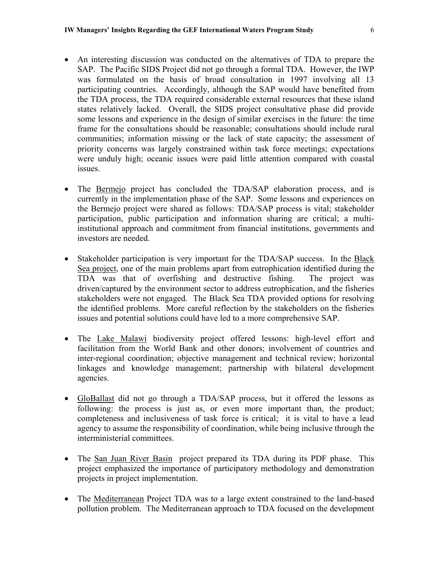- An interesting discussion was conducted on the alternatives of TDA to prepare the SAP. The Pacific SIDS Project did not go through a formal TDA. However, the IWP was formulated on the basis of broad consultation in 1997 involving all 13 participating countries. Accordingly, although the SAP would have benefited from the TDA process, the TDA required considerable external resources that these island states relatively lacked. Overall, the SIDS project consultative phase did provide some lessons and experience in the design of similar exercises in the future: the time frame for the consultations should be reasonable; consultations should include rural communities; information missing or the lack of state capacity; the assessment of priority concerns was largely constrained within task force meetings; expectations were unduly high; oceanic issues were paid little attention compared with coastal issues.
- The Bermejo project has concluded the TDA/SAP elaboration process, and is currently in the implementation phase of the SAP. Some lessons and experiences on the Bermejo project were shared as follows: TDA/SAP process is vital; stakeholder participation, public participation and information sharing are critical; a multiinstitutional approach and commitment from financial institutions, governments and investors are needed.
- Stakeholder participation is very important for the TDA/SAP success. In the Black Sea project, one of the main problems apart from eutrophication identified during the TDA was that of overfishing and destructive fishing. The project was driven/captured by the environment sector to address eutrophication, and the fisheries stakeholders were not engaged. The Black Sea TDA provided options for resolving the identified problems. More careful reflection by the stakeholders on the fisheries issues and potential solutions could have led to a more comprehensive SAP.
- The Lake Malawi biodiversity project offered lessons: high-level effort and facilitation from the World Bank and other donors; involvement of countries and inter-regional coordination; objective management and technical review; horizontal linkages and knowledge management; partnership with bilateral development agencies.
- GloBallast did not go through a TDA/SAP process, but it offered the lessons as following: the process is just as, or even more important than, the product; completeness and inclusiveness of task force is critical; it is vital to have a lead agency to assume the responsibility of coordination, while being inclusive through the interministerial committees.
- The San Juan River Basin project prepared its TDA during its PDF phase. This project emphasized the importance of participatory methodology and demonstration projects in project implementation.
- The Mediterranean Project TDA was to a large extent constrained to the land-based pollution problem. The Mediterranean approach to TDA focused on the development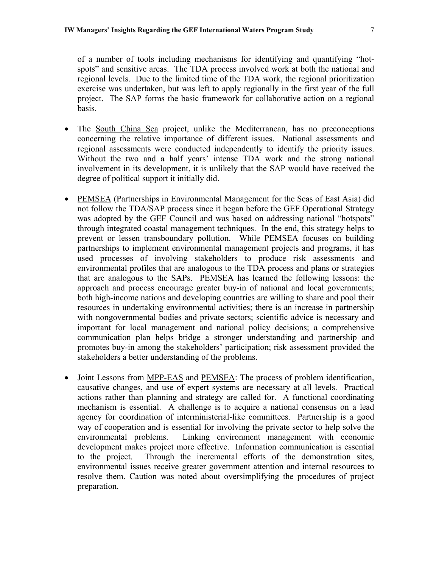of a number of tools including mechanisms for identifying and quantifying "hotspots" and sensitive areas. The TDA process involved work at both the national and regional levels. Due to the limited time of the TDA work, the regional prioritization exercise was undertaken, but was left to apply regionally in the first year of the full project. The SAP forms the basic framework for collaborative action on a regional basis.

- The South China Sea project, unlike the Mediterranean, has no preconceptions concerning the relative importance of different issues. National assessments and regional assessments were conducted independently to identify the priority issues. Without the two and a half years' intense TDA work and the strong national involvement in its development, it is unlikely that the SAP would have received the degree of political support it initially did.
- PEMSEA (Partnerships in Environmental Management for the Seas of East Asia) did not follow the TDA/SAP process since it began before the GEF Operational Strategy was adopted by the GEF Council and was based on addressing national "hotspots" through integrated coastal management techniques. In the end, this strategy helps to prevent or lessen transboundary pollution. While PEMSEA focuses on building partnerships to implement environmental management projects and programs, it has used processes of involving stakeholders to produce risk assessments and environmental profiles that are analogous to the TDA process and plans or strategies that are analogous to the SAPs. PEMSEA has learned the following lessons: the approach and process encourage greater buy-in of national and local governments; both high-income nations and developing countries are willing to share and pool their resources in undertaking environmental activities; there is an increase in partnership with nongovernmental bodies and private sectors; scientific advice is necessary and important for local management and national policy decisions; a comprehensive communication plan helps bridge a stronger understanding and partnership and promotes buy-in among the stakeholders' participation; risk assessment provided the stakeholders a better understanding of the problems.
- Joint Lessons from MPP-EAS and PEMSEA: The process of problem identification, causative changes, and use of expert systems are necessary at all levels. Practical actions rather than planning and strategy are called for. A functional coordinating mechanism is essential. A challenge is to acquire a national consensus on a lead agency for coordination of interministerial-like committees. Partnership is a good way of cooperation and is essential for involving the private sector to help solve the environmental problems. Linking environment management with economic development makes project more effective. Information communication is essential to the project. Through the incremental efforts of the demonstration sites, environmental issues receive greater government attention and internal resources to resolve them. Caution was noted about oversimplifying the procedures of project preparation.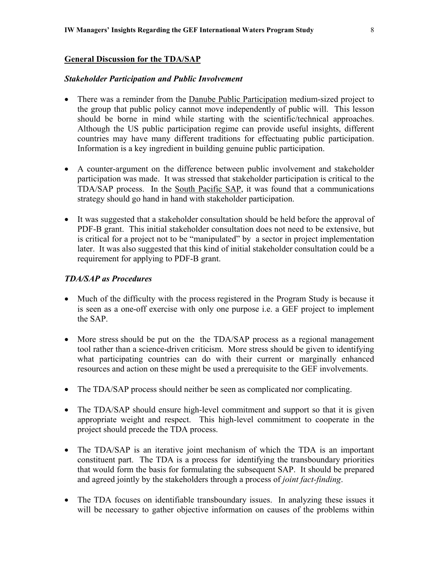#### **General Discussion for the TDA/SAP**

#### *Stakeholder Participation and Public Involvement*

- There was a reminder from the Danube Public Participation medium-sized project to the group that public policy cannot move independently of public will. This lesson should be borne in mind while starting with the scientific/technical approaches. Although the US public participation regime can provide useful insights, different countries may have many different traditions for effectuating public participation. Information is a key ingredient in building genuine public participation.
- A counter-argument on the difference between public involvement and stakeholder participation was made. It was stressed that stakeholder participation is critical to the TDA/SAP process. In the South Pacific SAP, it was found that a communications strategy should go hand in hand with stakeholder participation.
- It was suggested that a stakeholder consultation should be held before the approval of PDF-B grant. This initial stakeholder consultation does not need to be extensive, but is critical for a project not to be "manipulated" by a sector in project implementation later. It was also suggested that this kind of initial stakeholder consultation could be a requirement for applying to PDF-B grant.

#### *TDA/SAP as Procedures*

- Much of the difficulty with the process registered in the Program Study is because it is seen as a one-off exercise with only one purpose i.e. a GEF project to implement the SAP.
- More stress should be put on the the TDA/SAP process as a regional management tool rather than a science-driven criticism. More stress should be given to identifying what participating countries can do with their current or marginally enhanced resources and action on these might be used a prerequisite to the GEF involvements.
- The TDA/SAP process should neither be seen as complicated nor complicating.
- The TDA/SAP should ensure high-level commitment and support so that it is given appropriate weight and respect. This high-level commitment to cooperate in the project should precede the TDA process.
- The TDA/SAP is an iterative joint mechanism of which the TDA is an important constituent part. The TDA is a process for identifying the transboundary priorities that would form the basis for formulating the subsequent SAP. It should be prepared and agreed jointly by the stakeholders through a process of *joint fact-finding*.
- The TDA focuses on identifiable transboundary issues. In analyzing these issues it will be necessary to gather objective information on causes of the problems within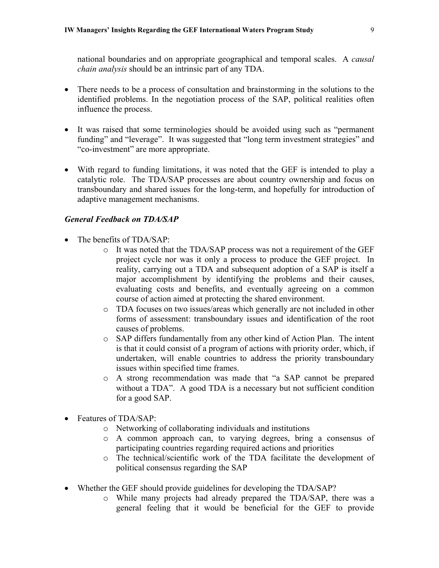national boundaries and on appropriate geographical and temporal scales. A *causal chain analysis* should be an intrinsic part of any TDA.

- There needs to be a process of consultation and brainstorming in the solutions to the identified problems. In the negotiation process of the SAP, political realities often influence the process.
- It was raised that some terminologies should be avoided using such as "permanent funding" and "leverage". It was suggested that "long term investment strategies" and "co-investment" are more appropriate.
- With regard to funding limitations, it was noted that the GEF is intended to play a catalytic role. The TDA/SAP processes are about country ownership and focus on transboundary and shared issues for the long-term, and hopefully for introduction of adaptive management mechanisms.

#### *General Feedback on TDA/SAP*

- The benefits of TDA/SAP:
	- o It was noted that the TDA/SAP process was not a requirement of the GEF project cycle nor was it only a process to produce the GEF project. In reality, carrying out a TDA and subsequent adoption of a SAP is itself a major accomplishment by identifying the problems and their causes, evaluating costs and benefits, and eventually agreeing on a common course of action aimed at protecting the shared environment.
	- o TDA focuses on two issues/areas which generally are not included in other forms of assessment: transboundary issues and identification of the root causes of problems.
	- o SAP differs fundamentally from any other kind of Action Plan. The intent is that it could consist of a program of actions with priority order, which, if undertaken, will enable countries to address the priority transboundary issues within specified time frames.
	- o A strong recommendation was made that "a SAP cannot be prepared without a TDA". A good TDA is a necessary but not sufficient condition for a good SAP.
- Features of TDA/SAP:
	- o Networking of collaborating individuals and institutions
	- o A common approach can, to varying degrees, bring a consensus of participating countries regarding required actions and priorities
	- o The technical/scientific work of the TDA facilitate the development of political consensus regarding the SAP
- Whether the GEF should provide guidelines for developing the TDA/SAP?
	- o While many projects had already prepared the TDA/SAP, there was a general feeling that it would be beneficial for the GEF to provide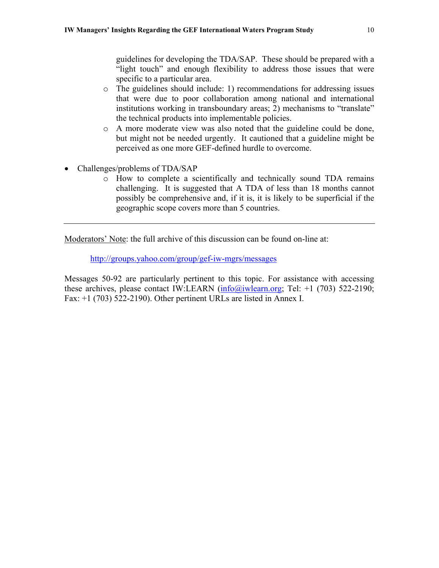guidelines for developing the TDA/SAP. These should be prepared with a "light touch" and enough flexibility to address those issues that were specific to a particular area.

- o The guidelines should include: 1) recommendations for addressing issues that were due to poor collaboration among national and international institutions working in transboundary areas; 2) mechanisms to "translate" the technical products into implementable policies.
- o A more moderate view was also noted that the guideline could be done, but might not be needed urgently. It cautioned that a guideline might be perceived as one more GEF-defined hurdle to overcome.
- Challenges/problems of TDA/SAP
	- o How to complete a scientifically and technically sound TDA remains challenging. It is suggested that A TDA of less than 18 months cannot possibly be comprehensive and, if it is, it is likely to be superficial if the geographic scope covers more than 5 countries.

Moderators' Note: the full archive of this discussion can be found on-line at:

<http://groups.yahoo.com/group/gef-iw-mgrs/messages>

Messages 50-92 are particularly pertinent to this topic. For assistance with accessing these archives, please contact IW:LEARN  $(info@,iwlearn.org; Tel: +1 (703) 522-2190;$ Fax: +1 (703) 522-2190). Other pertinent URLs are listed in Annex I.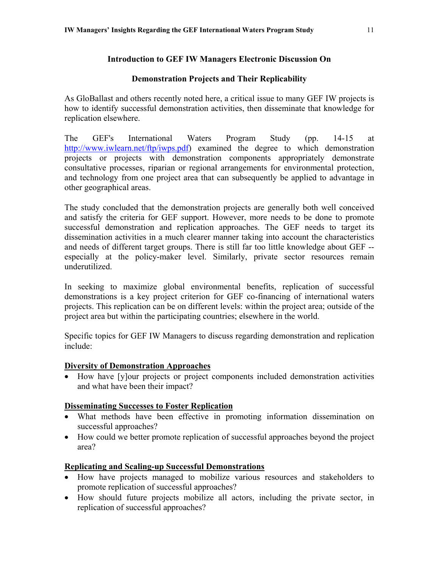## **Introduction to GEF IW Managers Electronic Discussion On**

### **Demonstration Projects and Their Replicability**

<span id="page-13-0"></span>As GloBallast and others recently noted here, a critical issue to many GEF IW projects is how to identify successful demonstration activities, then disseminate that knowledge for replication elsewhere.

The GEF's International Waters Program Study (pp. 14-15 at <http://www.iwlearn.net/ftp/iwps.pdf>) examined the degree to which demonstration projects or projects with demonstration components appropriately demonstrate consultative processes, riparian or regional arrangements for environmental protection, and technology from one project area that can subsequently be applied to advantage in other geographical areas.

The study concluded that the demonstration projects are generally both well conceived and satisfy the criteria for GEF support. However, more needs to be done to promote successful demonstration and replication approaches. The GEF needs to target its dissemination activities in a much clearer manner taking into account the characteristics and needs of different target groups. There is still far too little knowledge about GEF - especially at the policy-maker level. Similarly, private sector resources remain underutilized.

In seeking to maximize global environmental benefits, replication of successful demonstrations is a key project criterion for GEF co-financing of international waters projects. This replication can be on different levels: within the project area; outside of the project area but within the participating countries; elsewhere in the world.

Specific topics for GEF IW Managers to discuss regarding demonstration and replication include:

#### **Diversity of Demonstration Approaches**

• How have [y]our projects or project components included demonstration activities and what have been their impact?

## **Disseminating Successes to Foster Replication**

- What methods have been effective in promoting information dissemination on successful approaches?
- How could we better promote replication of successful approaches beyond the project area?

## **Replicating and Scaling-up Successful Demonstrations**

- How have projects managed to mobilize various resources and stakeholders to promote replication of successful approaches?
- How should future projects mobilize all actors, including the private sector, in replication of successful approaches?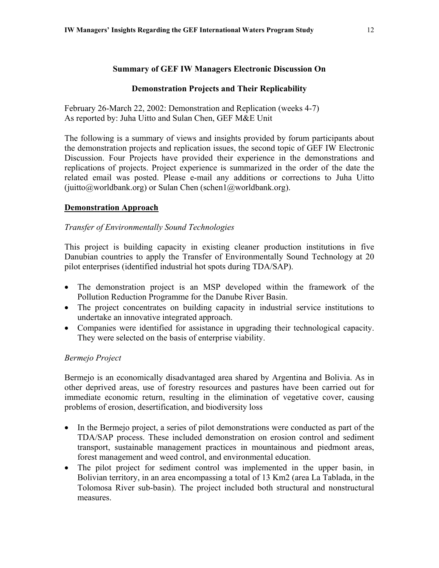### **Summary of GEF IW Managers Electronic Discussion On**

### **Demonstration Projects and Their Replicability**

February 26-March 22, 2002: Demonstration and Replication (weeks 4-7) As reported by: Juha Uitto and Sulan Chen, GEF M&E Unit

The following is a summary of views and insights provided by forum participants about the demonstration projects and replication issues, the second topic of GEF IW Electronic Discussion. Four Projects have provided their experience in the demonstrations and replications of projects. Project experience is summarized in the order of the date the related email was posted. Please e-mail any additions or corrections to Juha Uitto (juitto@worldbank.org) or Sulan Chen (schen1@worldbank.org).

#### **Demonstration Approach**

### *Transfer of Environmentally Sound Technologies*

This project is building capacity in existing cleaner production institutions in five Danubian countries to apply the Transfer of Environmentally Sound Technology at 20 pilot enterprises (identified industrial hot spots during TDA/SAP).

- The demonstration project is an MSP developed within the framework of the Pollution Reduction Programme for the Danube River Basin.
- The project concentrates on building capacity in industrial service institutions to undertake an innovative integrated approach.
- Companies were identified for assistance in upgrading their technological capacity. They were selected on the basis of enterprise viability.

#### *Bermejo Project*

Bermejo is an economically disadvantaged area shared by Argentina and Bolivia. As in other deprived areas, use of forestry resources and pastures have been carried out for immediate economic return, resulting in the elimination of vegetative cover, causing problems of erosion, desertification, and biodiversity loss

- In the Bermejo project, a series of pilot demonstrations were conducted as part of the TDA/SAP process. These included demonstration on erosion control and sediment transport, sustainable management practices in mountainous and piedmont areas, forest management and weed control, and environmental education.
- The pilot project for sediment control was implemented in the upper basin, in Bolivian territory, in an area encompassing a total of 13 Km2 (area La Tablada, in the Tolomosa River sub-basin). The project included both structural and nonstructural measures.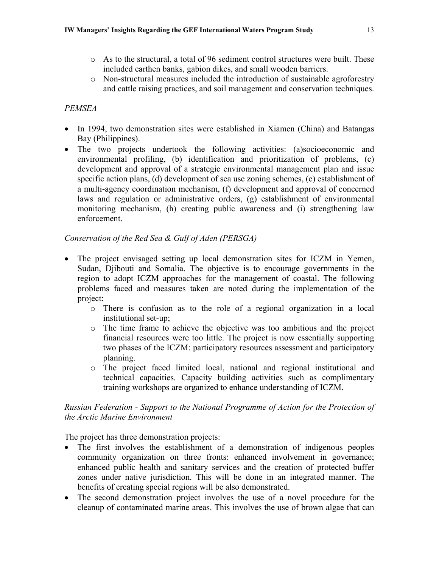- o As to the structural, a total of 96 sediment control structures were built. These included earthen banks, gabion dikes, and small wooden barriers.
- o Non-structural measures included the introduction of sustainable agroforestry and cattle raising practices, and soil management and conservation techniques.

## *PEMSEA*

- In 1994, two demonstration sites were established in Xiamen (China) and Batangas Bay (Philippines).
- The two projects undertook the following activities: (a)socioeconomic and environmental profiling, (b) identification and prioritization of problems, (c) development and approval of a strategic environmental management plan and issue specific action plans, (d) development of sea use zoning schemes, (e) establishment of a multi-agency coordination mechanism, (f) development and approval of concerned laws and regulation or administrative orders, (g) establishment of environmental monitoring mechanism, (h) creating public awareness and (i) strengthening law enforcement.

## *Conservation of the Red Sea & Gulf of Aden (PERSGA)*

- The project envisaged setting up local demonstration sites for ICZM in Yemen, Sudan, Djibouti and Somalia. The objective is to encourage governments in the region to adopt ICZM approaches for the management of coastal. The following problems faced and measures taken are noted during the implementation of the project:
	- o There is confusion as to the role of a regional organization in a local institutional set-up;
	- o The time frame to achieve the objective was too ambitious and the project financial resources were too little. The project is now essentially supporting two phases of the ICZM: participatory resources assessment and participatory planning.
	- o The project faced limited local, national and regional institutional and technical capacities. Capacity building activities such as complimentary training workshops are organized to enhance understanding of ICZM.

### *Russian Federation - Support to the National Programme of Action for the Protection of the Arctic Marine Environment*

The project has three demonstration projects:

- The first involves the establishment of a demonstration of indigenous peoples community organization on three fronts: enhanced involvement in governance; enhanced public health and sanitary services and the creation of protected buffer zones under native jurisdiction. This will be done in an integrated manner. The benefits of creating special regions will be also demonstrated.
- The second demonstration project involves the use of a novel procedure for the cleanup of contaminated marine areas. This involves the use of brown algae that can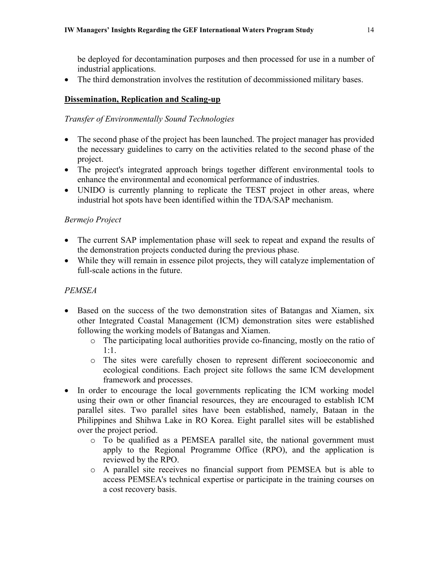be deployed for decontamination purposes and then processed for use in a number of industrial applications.

• The third demonstration involves the restitution of decommissioned military bases.

### **Dissemination, Replication and Scaling-up**

### *Transfer of Environmentally Sound Technologies*

- The second phase of the project has been launched. The project manager has provided the necessary guidelines to carry on the activities related to the second phase of the project.
- The project's integrated approach brings together different environmental tools to enhance the environmental and economical performance of industries.
- UNIDO is currently planning to replicate the TEST project in other areas, where industrial hot spots have been identified within the TDA/SAP mechanism.

### *Bermejo Project*

- The current SAP implementation phase will seek to repeat and expand the results of the demonstration projects conducted during the previous phase.
- While they will remain in essence pilot projects, they will catalyze implementation of full-scale actions in the future.

## *PEMSEA*

- Based on the success of the two demonstration sites of Batangas and Xiamen, six other Integrated Coastal Management (ICM) demonstration sites were established following the working models of Batangas and Xiamen.
	- o The participating local authorities provide co-financing, mostly on the ratio of 1:1.
	- o The sites were carefully chosen to represent different socioeconomic and ecological conditions. Each project site follows the same ICM development framework and processes.
- In order to encourage the local governments replicating the ICM working model using their own or other financial resources, they are encouraged to establish ICM parallel sites. Two parallel sites have been established, namely, Bataan in the Philippines and Shihwa Lake in RO Korea. Eight parallel sites will be established over the project period.
	- o To be qualified as a PEMSEA parallel site, the national government must apply to the Regional Programme Office (RPO), and the application is reviewed by the RPO.
	- o A parallel site receives no financial support from PEMSEA but is able to access PEMSEA's technical expertise or participate in the training courses on a cost recovery basis.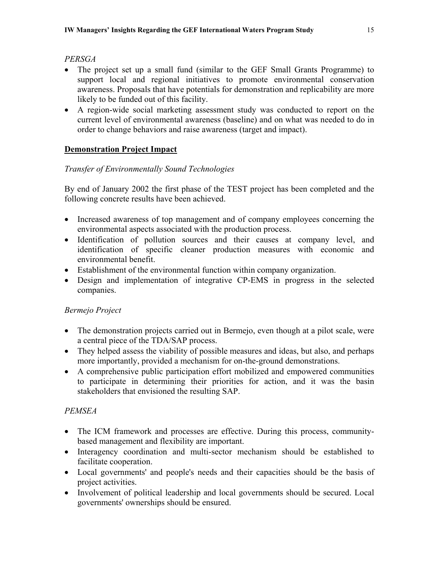## *PERSGA*

- The project set up a small fund (similar to the GEF Small Grants Programme) to support local and regional initiatives to promote environmental conservation awareness. Proposals that have potentials for demonstration and replicability are more likely to be funded out of this facility.
- A region-wide social marketing assessment study was conducted to report on the current level of environmental awareness (baseline) and on what was needed to do in order to change behaviors and raise awareness (target and impact).

## **Demonstration Project Impact**

## *Transfer of Environmentally Sound Technologies*

By end of January 2002 the first phase of the TEST project has been completed and the following concrete results have been achieved.

- Increased awareness of top management and of company employees concerning the environmental aspects associated with the production process.
- Identification of pollution sources and their causes at company level, and identification of specific cleaner production measures with economic and environmental benefit.
- Establishment of the environmental function within company organization.
- Design and implementation of integrative CP-EMS in progress in the selected companies.

## *Bermejo Project*

- The demonstration projects carried out in Bermejo, even though at a pilot scale, were a central piece of the TDA/SAP process.
- They helped assess the viability of possible measures and ideas, but also, and perhaps more importantly, provided a mechanism for on-the-ground demonstrations.
- A comprehensive public participation effort mobilized and empowered communities to participate in determining their priorities for action, and it was the basin stakeholders that envisioned the resulting SAP.

## *PEMSEA*

- The ICM framework and processes are effective. During this process, communitybased management and flexibility are important.
- Interagency coordination and multi-sector mechanism should be established to facilitate cooperation.
- Local governments' and people's needs and their capacities should be the basis of project activities.
- Involvement of political leadership and local governments should be secured. Local governments' ownerships should be ensured.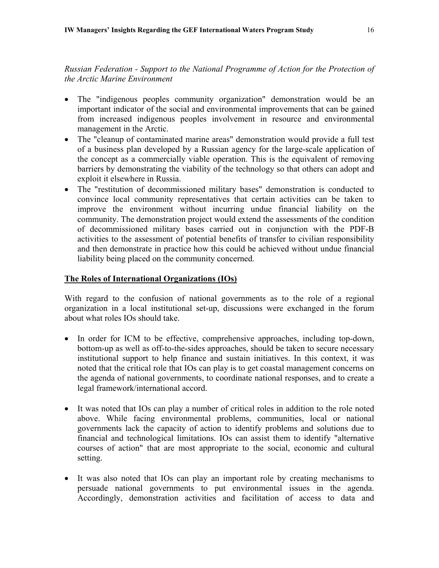*Russian Federation - Support to the National Programme of Action for the Protection of the Arctic Marine Environment* 

- The "indigenous peoples community organization" demonstration would be an important indicator of the social and environmental improvements that can be gained from increased indigenous peoples involvement in resource and environmental management in the Arctic.
- The "cleanup of contaminated marine areas" demonstration would provide a full test of a business plan developed by a Russian agency for the large-scale application of the concept as a commercially viable operation. This is the equivalent of removing barriers by demonstrating the viability of the technology so that others can adopt and exploit it elsewhere in Russia.
- The "restitution of decommissioned military bases" demonstration is conducted to convince local community representatives that certain activities can be taken to improve the environment without incurring undue financial liability on the community. The demonstration project would extend the assessments of the condition of decommissioned military bases carried out in conjunction with the PDF-B activities to the assessment of potential benefits of transfer to civilian responsibility and then demonstrate in practice how this could be achieved without undue financial liability being placed on the community concerned.

### **The Roles of International Organizations (IOs)**

With regard to the confusion of national governments as to the role of a regional organization in a local institutional set-up, discussions were exchanged in the forum about what roles IOs should take.

- In order for ICM to be effective, comprehensive approaches, including top-down, bottom-up as well as off-to-the-sides approaches, should be taken to secure necessary institutional support to help finance and sustain initiatives. In this context, it was noted that the critical role that IOs can play is to get coastal management concerns on the agenda of national governments, to coordinate national responses, and to create a legal framework/international accord.
- It was noted that IOs can play a number of critical roles in addition to the role noted above. While facing environmental problems, communities, local or national governments lack the capacity of action to identify problems and solutions due to financial and technological limitations. IOs can assist them to identify "alternative courses of action" that are most appropriate to the social, economic and cultural setting.
- It was also noted that IOs can play an important role by creating mechanisms to persuade national governments to put environmental issues in the agenda. Accordingly, demonstration activities and facilitation of access to data and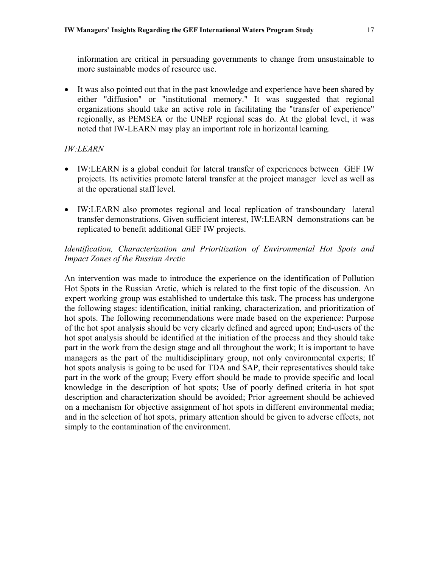information are critical in persuading governments to change from unsustainable to more sustainable modes of resource use.

• It was also pointed out that in the past knowledge and experience have been shared by either "diffusion" or "institutional memory." It was suggested that regional organizations should take an active role in facilitating the "transfer of experience" regionally, as PEMSEA or the UNEP regional seas do. At the global level, it was noted that IW-LEARN may play an important role in horizontal learning.

#### *IW:LEARN*

- IW:LEARN is a global conduit for lateral transfer of experiences between GEF IW projects. Its activities promote lateral transfer at the project manager level as well as at the operational staff level.
- IW:LEARN also promotes regional and local replication of transboundary lateral transfer demonstrations. Given sufficient interest, IW:LEARN demonstrations can be replicated to benefit additional GEF IW projects.

### *Identification, Characterization and Prioritization of Environmental Hot Spots and Impact Zones of the Russian Arctic*

An intervention was made to introduce the experience on the identification of Pollution Hot Spots in the Russian Arctic, which is related to the first topic of the discussion. An expert working group was established to undertake this task. The process has undergone the following stages: identification, initial ranking, characterization, and prioritization of hot spots. The following recommendations were made based on the experience: Purpose of the hot spot analysis should be very clearly defined and agreed upon; End-users of the hot spot analysis should be identified at the initiation of the process and they should take part in the work from the design stage and all throughout the work; It is important to have managers as the part of the multidisciplinary group, not only environmental experts; If hot spots analysis is going to be used for TDA and SAP, their representatives should take part in the work of the group; Every effort should be made to provide specific and local knowledge in the description of hot spots; Use of poorly defined criteria in hot spot description and characterization should be avoided; Prior agreement should be achieved on a mechanism for objective assignment of hot spots in different environmental media; and in the selection of hot spots, primary attention should be given to adverse effects, not simply to the contamination of the environment.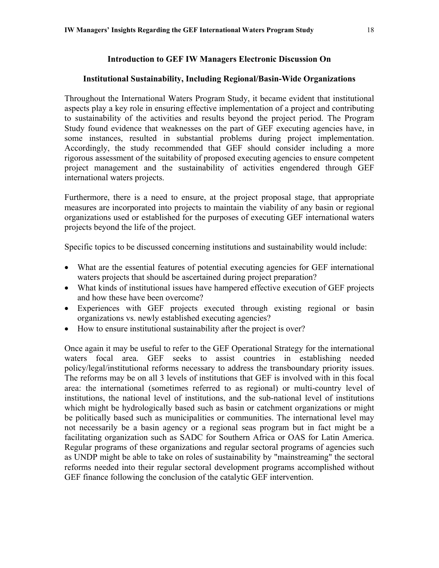## **Introduction to GEF IW Managers Electronic Discussion On**

#### <span id="page-20-0"></span>**Institutional Sustainability, Including Regional/Basin-Wide Organizations**

Throughout the International Waters Program Study, it became evident that institutional aspects play a key role in ensuring effective implementation of a project and contributing to sustainability of the activities and results beyond the project period. The Program Study found evidence that weaknesses on the part of GEF executing agencies have, in some instances, resulted in substantial problems during project implementation. Accordingly, the study recommended that GEF should consider including a more rigorous assessment of the suitability of proposed executing agencies to ensure competent project management and the sustainability of activities engendered through GEF international waters projects.

Furthermore, there is a need to ensure, at the project proposal stage, that appropriate measures are incorporated into projects to maintain the viability of any basin or regional organizations used or established for the purposes of executing GEF international waters projects beyond the life of the project.

Specific topics to be discussed concerning institutions and sustainability would include:

- What are the essential features of potential executing agencies for GEF international waters projects that should be ascertained during project preparation?
- What kinds of institutional issues have hampered effective execution of GEF projects and how these have been overcome?
- Experiences with GEF projects executed through existing regional or basin organizations vs. newly established executing agencies?
- How to ensure institutional sustainability after the project is over?

Once again it may be useful to refer to the GEF Operational Strategy for the international waters focal area. GEF seeks to assist countries in establishing needed policy/legal/institutional reforms necessary to address the transboundary priority issues. The reforms may be on all 3 levels of institutions that GEF is involved with in this focal area: the international (sometimes referred to as regional) or multi-country level of institutions, the national level of institutions, and the sub-national level of institutions which might be hydrologically based such as basin or catchment organizations or might be politically based such as municipalities or communities. The international level may not necessarily be a basin agency or a regional seas program but in fact might be a facilitating organization such as SADC for Southern Africa or OAS for Latin America. Regular programs of these organizations and regular sectoral programs of agencies such as UNDP might be able to take on roles of sustainability by "mainstreaming" the sectoral reforms needed into their regular sectoral development programs accomplished without GEF finance following the conclusion of the catalytic GEF intervention.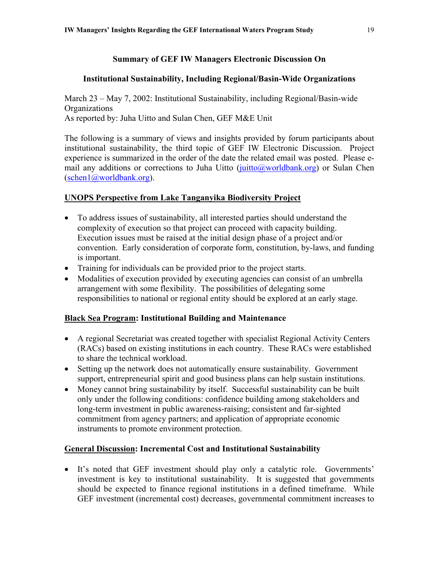### **Summary of GEF IW Managers Electronic Discussion On**

#### **Institutional Sustainability, Including Regional/Basin-Wide Organizations**

March 23 – May 7, 2002: Institutional Sustainability, including Regional/Basin-wide **Organizations** As reported by: Juha Uitto and Sulan Chen, GEF M&E Unit

The following is a summary of views and insights provided by forum participants about institutional sustainability, the third topic of GEF IW Electronic Discussion. Project experience is summarized in the order of the date the related email was posted. Please email any additions or corrections to Juha Uitto (juitto  $\omega$ worldbank.org) or Sulan Chen ([schen1@worldbank.org\)](mailto:schen1@worldbank.org).

#### **UNOPS Perspective from Lake Tanganyika Biodiversity Project**

- To address issues of sustainability, all interested parties should understand the complexity of execution so that project can proceed with capacity building. Execution issues must be raised at the initial design phase of a project and/or convention. Early consideration of corporate form, constitution, by-laws, and funding is important.
- Training for individuals can be provided prior to the project starts.
- Modalities of execution provided by executing agencies can consist of an umbrella arrangement with some flexibility. The possibilities of delegating some responsibilities to national or regional entity should be explored at an early stage.

#### **Black Sea Program: Institutional Building and Maintenance**

- A regional Secretariat was created together with specialist Regional Activity Centers (RACs) based on existing institutions in each country. These RACs were established to share the technical workload.
- Setting up the network does not automatically ensure sustainability. Government support, entrepreneurial spirit and good business plans can help sustain institutions.
- Money cannot bring sustainability by itself. Successful sustainability can be built only under the following conditions: confidence building among stakeholders and long-term investment in public awareness-raising; consistent and far-sighted commitment from agency partners; and application of appropriate economic instruments to promote environment protection.

#### **General Discussion: Incremental Cost and Institutional Sustainability**

• It's noted that GEF investment should play only a catalytic role. Governments' investment is key to institutional sustainability. It is suggested that governments should be expected to finance regional institutions in a defined timeframe. While GEF investment (incremental cost) decreases, governmental commitment increases to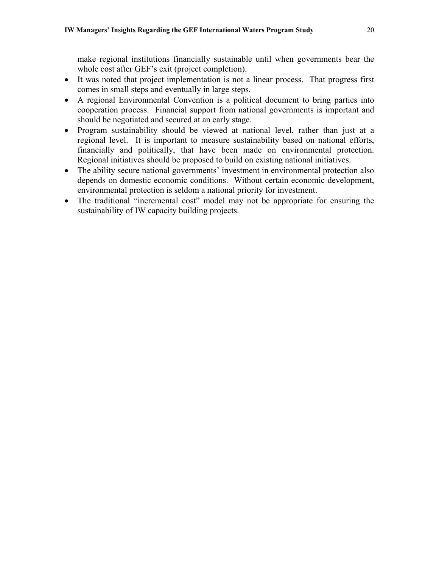make regional institutions financially sustainable until when governments bear the whole cost after GEF's exit (project completion).

- It was noted that project implementation is not a linear process. That progress first comes in small steps and eventually in large steps.
- A regional Environmental Convention is a political document to bring parties into cooperation process. Financial support from national governments is important and should be negotiated and secured at an early stage.
- Program sustainability should be viewed at national level, rather than just at a regional level. It is important to measure sustainability based on national efforts, financially and politically, that have been made on environmental protection. Regional initiatives should be proposed to build on existing national initiatives.
- The ability secure national governments' investment in environmental protection also depends on domestic economic conditions. Without certain economic development, environmental protection is seldom a national priority for investment.
- The traditional "incremental cost" model may not be appropriate for ensuring the sustainability of IW capacity building projects.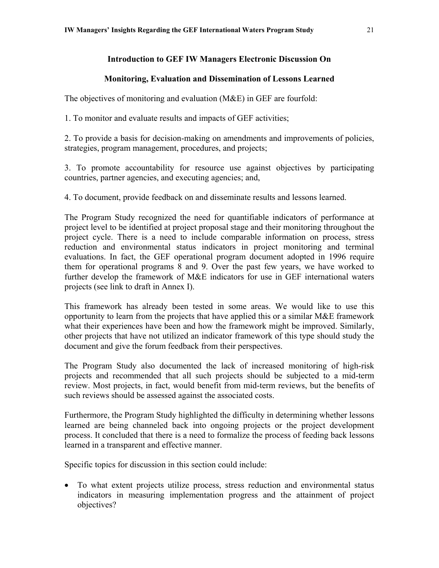## **Introduction to GEF IW Managers Electronic Discussion On**

### **Monitoring, Evaluation and Dissemination of Lessons Learned**

<span id="page-23-0"></span>The objectives of monitoring and evaluation (M&E) in GEF are fourfold:

1. To monitor and evaluate results and impacts of GEF activities;

2. To provide a basis for decision-making on amendments and improvements of policies, strategies, program management, procedures, and projects;

3. To promote accountability for resource use against objectives by participating countries, partner agencies, and executing agencies; and,

4. To document, provide feedback on and disseminate results and lessons learned.

The Program Study recognized the need for quantifiable indicators of performance at project level to be identified at project proposal stage and their monitoring throughout the project cycle. There is a need to include comparable information on process, stress reduction and environmental status indicators in project monitoring and terminal evaluations. In fact, the GEF operational program document adopted in 1996 require them for operational programs 8 and 9. Over the past few years, we have worked to further develop the framework of M&E indicators for use in GEF international waters projects (see link to draft in Annex I).

This framework has already been tested in some areas. We would like to use this opportunity to learn from the projects that have applied this or a similar M&E framework what their experiences have been and how the framework might be improved. Similarly, other projects that have not utilized an indicator framework of this type should study the document and give the forum feedback from their perspectives.

The Program Study also documented the lack of increased monitoring of high-risk projects and recommended that all such projects should be subjected to a mid-term review. Most projects, in fact, would benefit from mid-term reviews, but the benefits of such reviews should be assessed against the associated costs.

Furthermore, the Program Study highlighted the difficulty in determining whether lessons learned are being channeled back into ongoing projects or the project development process. It concluded that there is a need to formalize the process of feeding back lessons learned in a transparent and effective manner.

Specific topics for discussion in this section could include:

• To what extent projects utilize process, stress reduction and environmental status indicators in measuring implementation progress and the attainment of project objectives?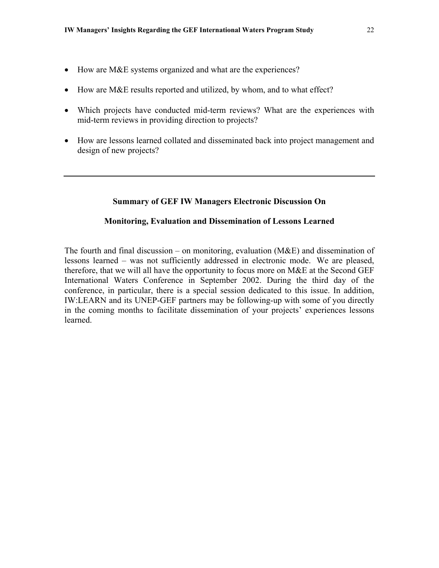- How are M&E systems organized and what are the experiences?
- How are M&E results reported and utilized, by whom, and to what effect?
- Which projects have conducted mid-term reviews? What are the experiences with mid-term reviews in providing direction to projects?
- How are lessons learned collated and disseminated back into project management and design of new projects?

#### **Summary of GEF IW Managers Electronic Discussion On**

#### **Monitoring, Evaluation and Dissemination of Lessons Learned**

The fourth and final discussion – on monitoring, evaluation  $(M&E)$  and dissemination of lessons learned – was not sufficiently addressed in electronic mode. We are pleased, therefore, that we will all have the opportunity to focus more on M&E at the Second GEF International Waters Conference in September 2002. During the third day of the conference, in particular, there is a special session dedicated to this issue. In addition, IW:LEARN and its UNEP-GEF partners may be following-up with some of you directly in the coming months to facilitate dissemination of your projects' experiences lessons learned.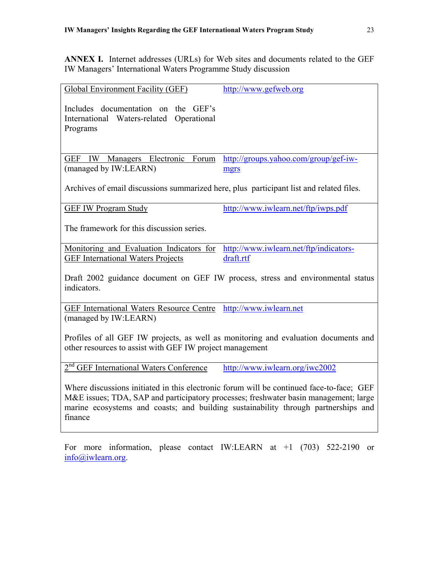<span id="page-25-0"></span>**ANNEX I.** Internet addresses (URLs) for Web sites and documents related to the GEF IW Managers' International Waters Programme Study discussion

| <b>Global Environment Facility (GEF)</b>                                                                                                                                                                                                                                          | http://www.gefweb.org                  |  |
|-----------------------------------------------------------------------------------------------------------------------------------------------------------------------------------------------------------------------------------------------------------------------------------|----------------------------------------|--|
| Includes documentation on the GEF's<br>International Waters-related Operational<br>Programs                                                                                                                                                                                       |                                        |  |
| IW<br>Managers Electronic<br>Forum<br>GEF                                                                                                                                                                                                                                         | http://groups.yahoo.com/group/gef-iw-  |  |
| (managed by IW:LEARN)                                                                                                                                                                                                                                                             | mgrs                                   |  |
| Archives of email discussions summarized here, plus participant list and related files.                                                                                                                                                                                           |                                        |  |
| <b>GEF IW Program Study</b>                                                                                                                                                                                                                                                       | http://www.iwlearn.net/ftp/iwps.pdf    |  |
| The framework for this discussion series.                                                                                                                                                                                                                                         |                                        |  |
| Monitoring and Evaluation Indicators for                                                                                                                                                                                                                                          | http://www.iwlearn.net/ftp/indicators- |  |
| <b>GEF</b> International Waters Projects                                                                                                                                                                                                                                          | draft.rtf                              |  |
| Draft 2002 guidance document on GEF IW process, stress and environmental status<br>indicators.                                                                                                                                                                                    |                                        |  |
| <b>GEF</b> International Waters Resource Centre                                                                                                                                                                                                                                   | http://www.iwlearn.net                 |  |
| (managed by IW:LEARN)                                                                                                                                                                                                                                                             |                                        |  |
| Profiles of all GEF IW projects, as well as monitoring and evaluation documents and<br>other resources to assist with GEF IW project management                                                                                                                                   |                                        |  |
| 2 <sup>nd</sup> GEF International Waters Conference                                                                                                                                                                                                                               | http://www.iwlearn.org/iwc2002         |  |
| Where discussions initiated in this electronic forum will be continued face-to-face; GEF<br>M&E issues; TDA, SAP and participatory processes; freshwater basin management; large<br>marine ecosystems and coasts; and building sustainability through partnerships and<br>finance |                                        |  |
|                                                                                                                                                                                                                                                                                   |                                        |  |

For more information, please contact IW:LEARN at +1 (703) 522-2190 or [info@iwlearn.org](mailto:info@iwlearn.org).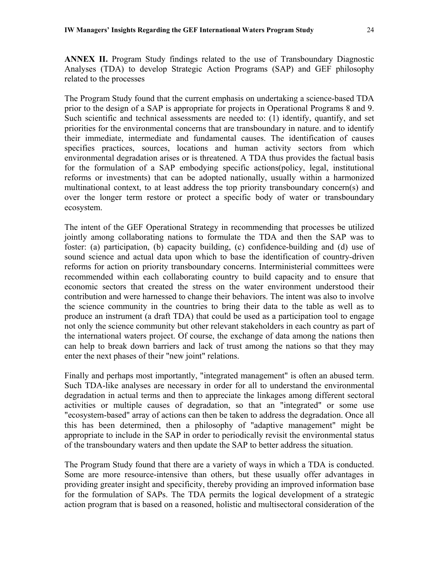<span id="page-26-0"></span>**ANNEX II.** Program Study findings related to the use of Transboundary Diagnostic Analyses (TDA) to develop Strategic Action Programs (SAP) and GEF philosophy related to the processes

The Program Study found that the current emphasis on undertaking a science-based TDA prior to the design of a SAP is appropriate for projects in Operational Programs 8 and 9. Such scientific and technical assessments are needed to: (1) identify, quantify, and set priorities for the environmental concerns that are transboundary in nature. and to identify their immediate, intermediate and fundamental causes. The identification of causes specifies practices, sources, locations and human activity sectors from which environmental degradation arises or is threatened. A TDA thus provides the factual basis for the formulation of a SAP embodying specific actions(policy, legal, institutional reforms or investments) that can be adopted nationally, usually within a harmonized multinational context, to at least address the top priority transboundary concern(s) and over the longer term restore or protect a specific body of water or transboundary ecosystem.

The intent of the GEF Operational Strategy in recommending that processes be utilized jointly among collaborating nations to formulate the TDA and then the SAP was to foster: (a) participation, (b) capacity building, (c) confidence-building and (d) use of sound science and actual data upon which to base the identification of country-driven reforms for action on priority transboundary concerns. Interministerial committees were recommended within each collaborating country to build capacity and to ensure that economic sectors that created the stress on the water environment understood their contribution and were harnessed to change their behaviors. The intent was also to involve the science community in the countries to bring their data to the table as well as to produce an instrument (a draft TDA) that could be used as a participation tool to engage not only the science community but other relevant stakeholders in each country as part of the international waters project. Of course, the exchange of data among the nations then can help to break down barriers and lack of trust among the nations so that they may enter the next phases of their "new joint" relations.

Finally and perhaps most importantly, "integrated management" is often an abused term. Such TDA-like analyses are necessary in order for all to understand the environmental degradation in actual terms and then to appreciate the linkages among different sectoral activities or multiple causes of degradation, so that an "integrated" or some use "ecosystem-based" array of actions can then be taken to address the degradation. Once all this has been determined, then a philosophy of "adaptive management" might be appropriate to include in the SAP in order to periodically revisit the environmental status of the transboundary waters and then update the SAP to better address the situation.

The Program Study found that there are a variety of ways in which a TDA is conducted. Some are more resource-intensive than others, but these usually offer advantages in providing greater insight and specificity, thereby providing an improved information base for the formulation of SAPs. The TDA permits the logical development of a strategic action program that is based on a reasoned, holistic and multisectoral consideration of the